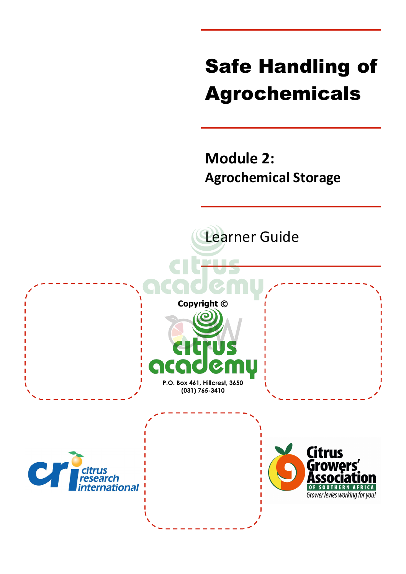# Safe Handling of Agrochemicals

**Module 2: Agrochemical Storage**

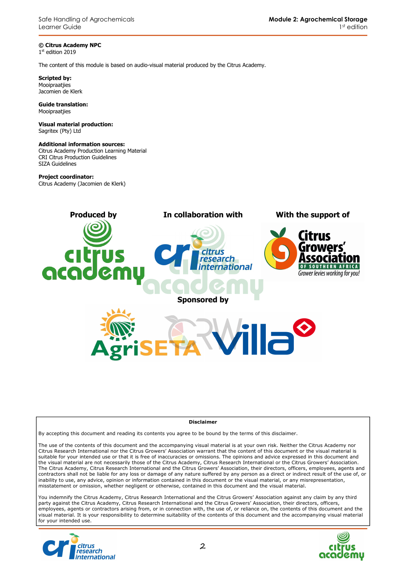Safe Handling of Agrochemicals Learner Guide

**© Citrus Academy NPC**  1 st edition 2019

The content of this module is based on audio-visual material produced by the Citrus Academy.

**Scripted by:**  Mooipraatjies Jacomien de Klerk

**Guide translation:**  Mooipraatjies

**Visual material production:**  Sagritex (Pty) Ltd

#### **Additional information sources:**

Citrus Academy Production Learning Material CRI Citrus Production Guidelines SIZA Guidelines

#### **Project coordinator:**

Citrus Academy (Jacomien de Klerk)



#### **Disclaimer**

By accepting this document and reading its contents you agree to be bound by the terms of this disclaimer.

The use of the contents of this document and the accompanying visual material is at your own risk. Neither the Citrus Academy nor Citrus Research International nor the Citrus Growers' Association warrant that the content of this document or the visual material is suitable for your intended use or that it is free of inaccuracies or omissions. The opinions and advice expressed in this document and the visual material are not necessarily those of the Citrus Academy, Citrus Research International or the Citrus Growers' Association. The Citrus Academy, Citrus Research International and the Citrus Growers' Association, their directors, officers, employees, agents and contractors shall not be liable for any loss or damage of any nature suffered by any person as a direct or indirect result of the use of, or inability to use, any advice, opinion or information contained in this document or the visual material, or any misrepresentation, misstatement or omission, whether negligent or otherwise, contained in this document and the visual material.

You indemnify the Citrus Academy, Citrus Research International and the Citrus Growers' Association against any claim by any third party against the Citrus Academy, Citrus Research International and the Citrus Growers' Association, their directors, officers, employees, agents or contractors arising from, or in connection with, the use of, or reliance on, the contents of this document and the visual material. It is your responsibility to determine suitability of the contents of this document and the accompanying visual material for your intended use.



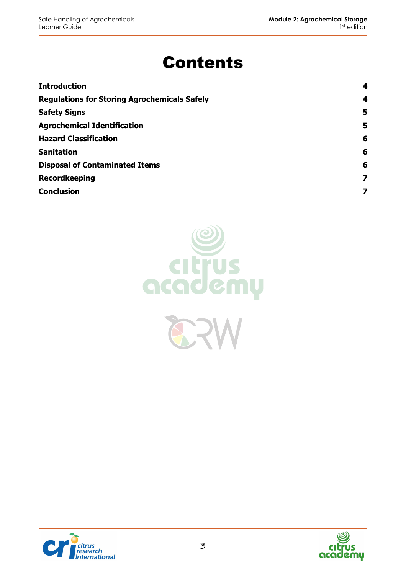# Contents

| <b>Introduction</b>                                 | 4 |
|-----------------------------------------------------|---|
| <b>Regulations for Storing Agrochemicals Safely</b> | 4 |
| <b>Safety Signs</b>                                 | 5 |
| <b>Agrochemical Identification</b>                  | 5 |
| <b>Hazard Classification</b>                        | 6 |
| <b>Sanitation</b>                                   | 6 |
| <b>Disposal of Contaminated Items</b>               | 6 |
| <b>Recordkeeping</b>                                | 7 |
| <b>Conclusion</b>                                   |   |





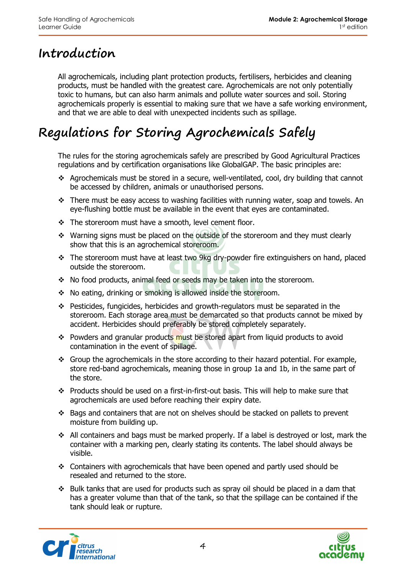### **Introduction**

All agrochemicals, including plant protection products, fertilisers, herbicides and cleaning products, must be handled with the greatest care. Agrochemicals are not only potentially toxic to humans, but can also harm animals and pollute water sources and soil. Storing agrochemicals properly is essential to making sure that we have a safe working environment, and that we are able to deal with unexpected incidents such as spillage.

# **Regulations for Storing Agrochemicals Safely**

The rules for the storing agrochemicals safely are prescribed by Good Agricultural Practices regulations and by certification organisations like GlobalGAP. The basic principles are:

- Agrochemicals must be stored in a secure, well-ventilated, cool, dry building that cannot be accessed by children, animals or unauthorised persons.
- $\cdot \cdot$  There must be easy access to washing facilities with running water, soap and towels. An eye-flushing bottle must be available in the event that eyes are contaminated.
- \* The storeroom must have a smooth, level cement floor.
- Warning signs must be placed on the outside of the storeroom and they must clearly show that this is an agrochemical storeroom.
- \* The storeroom must have at least two 9kg dry-powder fire extinguishers on hand, placed outside the storeroom.
- No food products, animal feed or seeds may be taken into the storeroom.
- No eating, drinking or smoking is allowed inside the storeroom.
- Pesticides, fungicides, herbicides and growth-regulators must be separated in the storeroom. Each storage area must be demarcated so that products cannot be mixed by accident. Herbicides should preferably be stored completely separately.
- \* Powders and granular products must be stored apart from liquid products to avoid contamination in the event of spillage.
- Group the agrochemicals in the store according to their hazard potential. For example, store red-band agrochemicals, meaning those in group 1a and 1b, in the same part of the store.
- \* Products should be used on a first-in-first-out basis. This will help to make sure that agrochemicals are used before reaching their expiry date.
- $\div$  Bags and containers that are not on shelves should be stacked on pallets to prevent moisture from building up.
- All containers and bags must be marked properly. If a label is destroyed or lost, mark the container with a marking pen, clearly stating its contents. The label should always be visible.
- Containers with agrochemicals that have been opened and partly used should be resealed and returned to the store.
- $\cdot \cdot$  Bulk tanks that are used for products such as spray oil should be placed in a dam that has a greater volume than that of the tank, so that the spillage can be contained if the tank should leak or rupture.



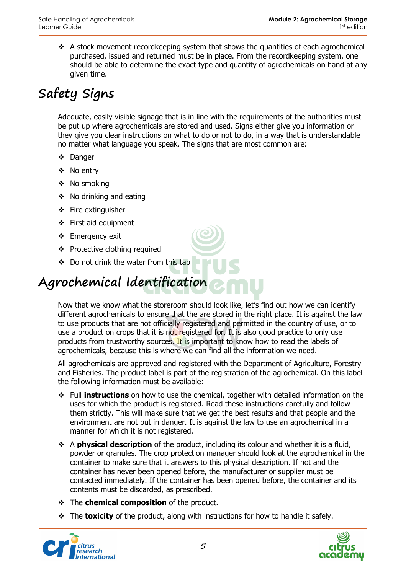$\cdot$  A stock movement recordkeeping system that shows the quantities of each agrochemical purchased, issued and returned must be in place. From the recordkeeping system, one should be able to determine the exact type and quantity of agrochemicals on hand at any given time.

# **Safety Signs**

Adequate, easily visible signage that is in line with the requirements of the authorities must be put up where agrochemicals are stored and used. Signs either give you information or they give you clear instructions on what to do or not to do, in a way that is understandable no matter what language you speak. The signs that are most common are:

- Danger
- No entry
- ❖ No smoking
- $\div$  No drinking and eating
- $\div$  Fire extinguisher
- First aid equipment
- Emergency exit
- ◆ Protective clothing required
- ◆ Do not drink the water from this tap

# **Agrochemical Identification**

Now that we know what the storeroom should look like, let's find out how we can identify different agrochemicals to ensure that the are stored in the right place. It is against the law to use products that are not officially registered and permitted in the country of use, or to use a product on crops that it is not registered for. It is also good practice to only use products from trustworthy sources. It is important to know how to read the labels of agrochemicals, because this is where we can find all the information we need.

All agrochemicals are approved and registered with the Department of Agriculture, Forestry and Fisheries. The product label is part of the registration of the agrochemical. On this label the following information must be available:

- Full **instructions** on how to use the chemical, together with detailed information on the uses for which the product is registered. Read these instructions carefully and follow them strictly. This will make sure that we get the best results and that people and the environment are not put in danger. It is against the law to use an agrochemical in a manner for which it is not registered.
- A **physical description** of the product, including its colour and whether it is a fluid, powder or granules. The crop protection manager should look at the agrochemical in the container to make sure that it answers to this physical description. If not and the container has never been opened before, the manufacturer or supplier must be contacted immediately. If the container has been opened before, the container and its contents must be discarded, as prescribed.
- $\div$  The **chemical composition** of the product.
- The **toxicity** of the product, along with instructions for how to handle it safely.



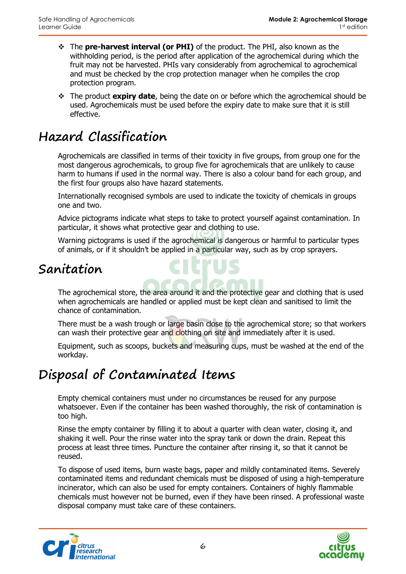- The **pre-harvest interval (or PHI)** of the product. The PHI, also known as the withholding period, is the period after application of the agrochemical during which the fruit may not be harvested. PHIs vary considerably from agrochemical to agrochemical and must be checked by the crop protection manager when he compiles the crop protection program.
- The product **expiry date**, being the date on or before which the agrochemical should be used. Agrochemicals must be used before the expiry date to make sure that it is still effective.

# **Hazard Classification**

Agrochemicals are classified in terms of their toxicity in five groups, from group one for the most dangerous agrochemicals, to group five for agrochemicals that are unlikely to cause harm to humans if used in the normal way. There is also a colour band for each group, and the first four groups also have hazard statements.

Internationally recognised symbols are used to indicate the toxicity of chemicals in groups one and two.

Advice pictograms indicate what steps to take to protect yourself against contamination. In particular, it shows what protective gear and clothing to use.

Warning pictograms is used if the agrochemical is dangerous or harmful to particular types of animals, or if it shouldn't be applied in a particular way, such as by crop sprayers.

#### **Sanitation**

The agrochemical store, the area around it and the protective gear and clothing that is used when agrochemicals are handled or applied must be kept clean and sanitised to limit the chance of contamination.

There must be a wash trough or large basin close to the agrochemical store; so that workers can wash their protective gear and clothing on site and immediately after it is used.

Equipment, such as scoops, buckets and measuring cups, must be washed at the end of the workday.

# **Disposal of Contaminated Items**

Empty chemical containers must under no circumstances be reused for any purpose whatsoever. Even if the container has been washed thoroughly, the risk of contamination is too high.

Rinse the empty container by filling it to about a quarter with clean water, closing it, and shaking it well. Pour the rinse water into the spray tank or down the drain. Repeat this process at least three times. Puncture the container after rinsing it, so that it cannot be reused.

To dispose of used items, burn waste bags, paper and mildly contaminated items. Severely contaminated items and redundant chemicals must be disposed of using a high-temperature incinerator, which can also be used for empty containers. Containers of highly flammable chemicals must however not be burned, even if they have been rinsed. A professional waste disposal company must take care of these containers.